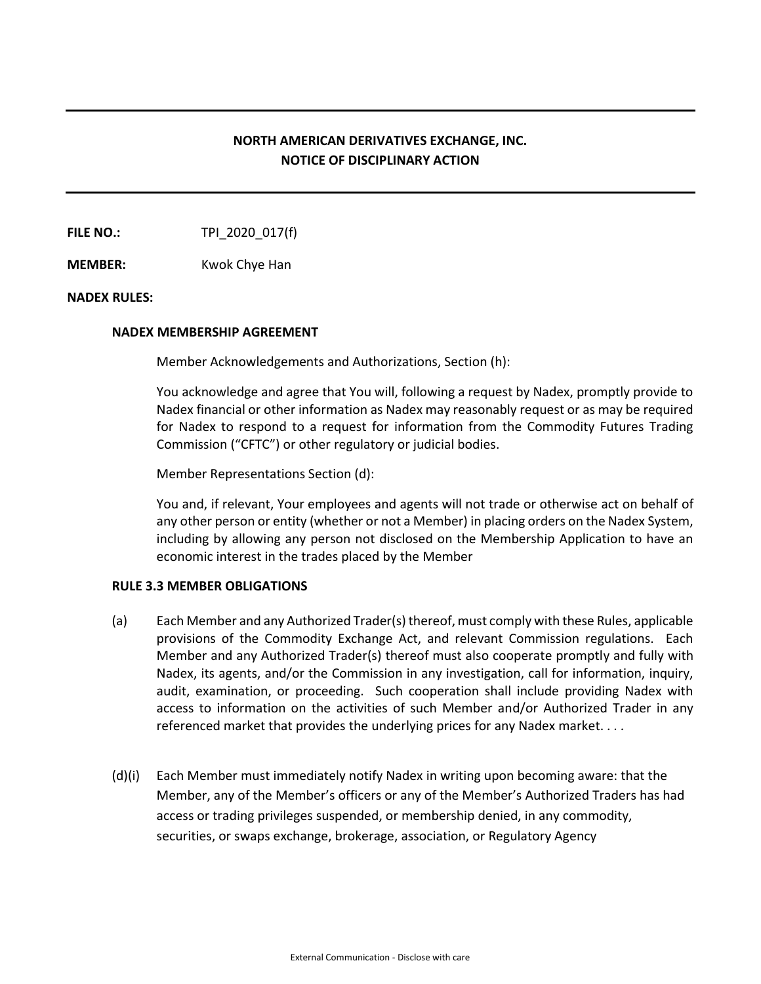# **NORTH AMERICAN DERIVATIVES EXCHANGE, INC. NOTICE OF DISCIPLINARY ACTION**

**FILE NO.:** TPI 2020 017(f)

**MEMBER:** Kwok Chye Han

## **NADEX RULES:**

## **NADEX MEMBERSHIP AGREEMENT**

Member Acknowledgements and Authorizations, Section (h):

You acknowledge and agree that You will, following a request by Nadex, promptly provide to Nadex financial or other information as Nadex may reasonably request or as may be required for Nadex to respond to a request for information from the Commodity Futures Trading Commission ("CFTC") or other regulatory or judicial bodies.

Member Representations Section (d):

You and, if relevant, Your employees and agents will not trade or otherwise act on behalf of any other person or entity (whether or not a Member) in placing orders on the Nadex System, including by allowing any person not disclosed on the Membership Application to have an economic interest in the trades placed by the Member

#### **RULE 3.3 MEMBER OBLIGATIONS**

- (a) Each Member and any Authorized Trader(s) thereof, must comply with these Rules, applicable provisions of the Commodity Exchange Act, and relevant Commission regulations. Each Member and any Authorized Trader(s) thereof must also cooperate promptly and fully with Nadex, its agents, and/or the Commission in any investigation, call for information, inquiry, audit, examination, or proceeding. Such cooperation shall include providing Nadex with access to information on the activities of such Member and/or Authorized Trader in any referenced market that provides the underlying prices for any Nadex market. . . .
- (d)(i) Each Member must immediately notify Nadex in writing upon becoming aware: that the Member, any of the Member's officers or any of the Member's Authorized Traders has had access or trading privileges suspended, or membership denied, in any commodity, securities, or swaps exchange, brokerage, association, or Regulatory Agency